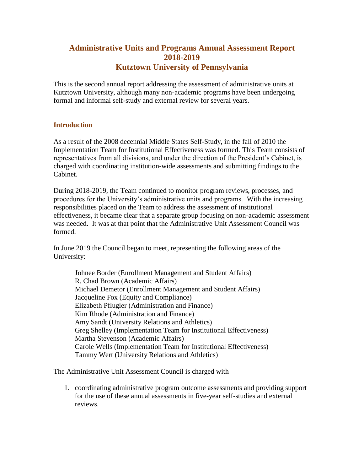# **Administrative Units and Programs Annual Assessment Report 2018-2019 Kutztown University of Pennsylvania**

This is the second annual report addressing the assessment of administrative units at Kutztown University, although many non-academic programs have been undergoing formal and informal self-study and external review for several years.

# **Introduction**

As a result of the 2008 decennial Middle States Self-Study, in the fall of 2010 the Implementation Team for Institutional Effectiveness was formed. This Team consists of representatives from all divisions, and under the direction of the President's Cabinet, is charged with coordinating institution-wide assessments and submitting findings to the Cabinet.

During 2018-2019, the Team continued to monitor program reviews, processes, and procedures for the University's administrative units and programs. With the increasing responsibilities placed on the Team to address the assessment of institutional effectiveness, it became clear that a separate group focusing on non-academic assessment was needed. It was at that point that the Administrative Unit Assessment Council was formed.

In June 2019 the Council began to meet, representing the following areas of the University:

Johnee Border (Enrollment Management and Student Affairs) R. Chad Brown (Academic Affairs) Michael Demetor (Enrollment Management and Student Affairs) Jacqueline Fox (Equity and Compliance) Elizabeth Pflugler (Administration and Finance) Kim Rhode (Administration and Finance) Amy Sandt (University Relations and Athletics) Greg Shelley (Implementation Team for Institutional Effectiveness) Martha Stevenson (Academic Affairs) Carole Wells (Implementation Team for Institutional Effectiveness) Tammy Wert (University Relations and Athletics)

The Administrative Unit Assessment Council is charged with

1. coordinating administrative program outcome assessments and providing support for the use of these annual assessments in five-year self-studies and external reviews.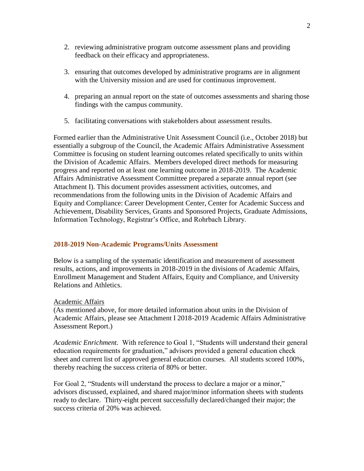- 2. reviewing administrative program outcome assessment plans and providing feedback on their efficacy and appropriateness.
- 3. ensuring that outcomes developed by administrative programs are in alignment with the University mission and are used for continuous improvement.
- 4. preparing an annual report on the state of outcomes assessments and sharing those findings with the campus community.
- 5. facilitating conversations with stakeholders about assessment results.

Formed earlier than the Administrative Unit Assessment Council (i.e., October 2018) but essentially a subgroup of the Council, the Academic Affairs Administrative Assessment Committee is focusing on student learning outcomes related specifically to units within the Division of Academic Affairs. Members developed direct methods for measuring progress and reported on at least one learning outcome in 2018-2019. The Academic Affairs Administrative Assessment Committee prepared a separate annual report (see Attachment I). This document provides assessment activities, outcomes, and recommendations from the following units in the Division of Academic Affairs and Equity and Compliance: Career Development Center, Center for Academic Success and Achievement, Disability Services, Grants and Sponsored Projects, Graduate Admissions, Information Technology, Registrar's Office, and Rohrbach Library.

# **2018-2019 Non-Academic Programs/Units Assessment**

Below is a sampling of the systematic identification and measurement of assessment results, actions, and improvements in 2018-2019 in the divisions of Academic Affairs, Enrollment Management and Student Affairs, Equity and Compliance, and University Relations and Athletics.

# Academic Affairs

(As mentioned above, for more detailed information about units in the Division of Academic Affairs, please see Attachment I 2018-2019 Academic Affairs Administrative Assessment Report.)

*Academic Enrichment.* With reference to Goal 1, "Students will understand their general education requirements for graduation," advisors provided a general education check sheet and current list of approved general education courses. All students scored 100%, thereby reaching the success criteria of 80% or better.

For Goal 2, "Students will understand the process to declare a major or a minor," advisors discussed, explained, and shared major/minor information sheets with students ready to declare. Thirty-eight percent successfully declared/changed their major; the success criteria of 20% was achieved.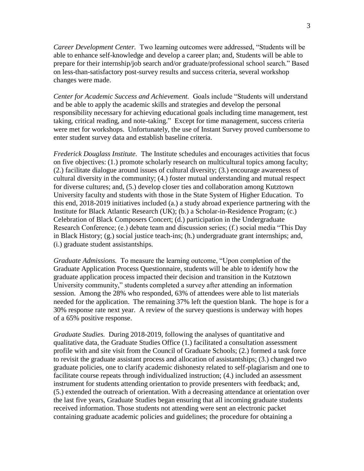*Career Development Center.* Two learning outcomes were addressed, "Students will be able to enhance self-knowledge and develop a career plan; and, Students will be able to prepare for their internship/job search and/or graduate/professional school search." Based on less-than-satisfactory post-survey results and success criteria, several workshop changes were made.

*Center for Academic Success and Achievement.* Goals include "Students will understand and be able to apply the academic skills and strategies and develop the personal responsibility necessary for achieving educational goals including time management, test taking, critical reading, and note-taking." Except for time management, success criteria were met for workshops. Unfortunately, the use of Instant Survey proved cumbersome to enter student survey data and establish baseline criteria.

*Frederick Douglass Institute.* The Institute schedules and encourages activities that focus on five objectives: (1.) promote scholarly research on multicultural topics among faculty; (2.) facilitate dialogue around issues of cultural diversity; (3.) encourage awareness of cultural diversity in the community; (4.) foster mutual understanding and mutual respect for diverse cultures; and, (5.) develop closer ties and collaboration among Kutztown University faculty and students with those in the State System of Higher Education. To this end, 2018-2019 initiatives included (a.) a study abroad experience partnering with the Institute for Black Atlantic Research (UK); (b.) a Scholar-in-Residence Program; (c.) Celebration of Black Composers Concert; (d.) participation in the Undergraduate Research Conference; (e.) debate team and discussion series; (f.) social media "This Day in Black History; (g.) social justice teach-ins; (h.) undergraduate grant internships; and, (i.) graduate student assistantships.

*Graduate Admissions.* To measure the learning outcome, "Upon completion of the Graduate Application Process Questionnaire, students will be able to identify how the graduate application process impacted their decision and transition in the Kutztown University community," students completed a survey after attending an information session. Among the 28% who responded, 63% of attendees were able to list materials needed for the application. The remaining 37% left the question blank. The hope is for a 30% response rate next year. A review of the survey questions is underway with hopes of a 65% positive response.

*Graduate Studies.* During 2018-2019, following the analyses of quantitative and qualitative data, the Graduate Studies Office (1.) facilitated a consultation assessment profile with and site visit from the Council of Graduate Schools; (2.) formed a task force to revisit the graduate assistant process and allocation of assistantships; (3.) changed two graduate policies, one to clarify academic dishonesty related to self-plagiarism and one to facilitate course repeats through individualized instruction; (4.) included an assessment instrument for students attending orientation to provide presenters with feedback; and, (5.) extended the outreach of orientation. With a decreasing attendance at orientation over the last five years, Graduate Studies began ensuring that all incoming graduate students received information. Those students not attending were sent an electronic packet containing graduate academic policies and guidelines; the procedure for obtaining a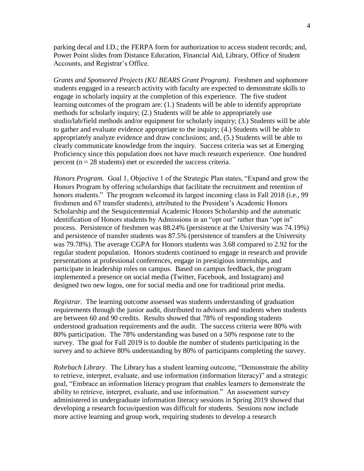parking decal and I.D.; the FERPA form for authorization to access student records; and, Power Point slides from Distance Education, Financial Aid, Library, Office of Student Accounts, and Registrar's Office.

*Grants and Sponsored Projects (KU BEARS Grant Program)*. Freshmen and sophomore students engaged in a research activity with faculty are expected to demonstrate skills to engage in scholarly inquiry at the completion of this experience. The five student learning outcomes of the program are: (1.) Students will be able to identify appropriate methods for scholarly inquiry; (2.) Students will be able to appropriately use studio/lab/field methods and/or equipment for scholarly inquiry; (3.) Students will be able to gather and evaluate evidence appropriate to the inquiry; (4.) Students will be able to appropriately analyze evidence and draw conclusions; and, (5.) Students will be able to clearly communicate knowledge from the inquiry. Success criteria was set at Emerging Proficiency since this population does not have much research experience. One hundred percent (n = 28 students) met or exceeded the success criteria.

*Honors Program.* Goal 1, Objective 1 of the Strategic Plan states, "Expand and grow the Honors Program by offering scholarships that facilitate the recruitment and retention of honors students." The program welcomed its largest incoming class in Fall 2018 (i.e., 99 freshmen and 67 transfer students), attributed to the President's Academic Honors Scholarship and the Sesquicentennial Academic Honors Scholarship and the automatic identification of Honors students by Admissions in an "opt out" rather than "opt in" process. Persistence of freshmen was 88.24% (persistence at the University was 74.19%) and persistence of transfer students was 87.5% (persistence of transfers at the University was 79.78%). The average CGPA for Honors students was 3.68 compared to 2.92 for the regular student population. Honors students continued to engage in research and provide presentations at professional conferences, engage in prestigious internships, and participate in leadership roles on campus. Based on campus feedback, the program implemented a presence on social media (Twitter, Facebook, and Instagram) and designed two new logos, one for social media and one for traditional print media.

*Registrar.* The learning outcome assessed was students understanding of graduation requirements through the junior audit, distributed to advisors and students when students are between 60 and 90 credits. Results showed that 78% of responding students understood graduation requirements and the audit. The success criteria were 80% with 80% participation. The 78% understanding was based on a 50% response rate to the survey. The goal for Fall 2019 is to double the number of students participating in the survey and to achieve 80% understanding by 80% of participants completing the survey.

*Rohrbach Library*. The Library has a student learning outcome, "Demonstrate the ability to retrieve, interpret, evaluate, and use information (information literacy)" and a strategic goal, "Embrace an information literacy program that enables learners to demonstrate the ability to retrieve, interpret, evaluate, and use information." An assessment survey administered in undergraduate information literacy sessions in Spring 2019 showed that developing a research focus/question was difficult for students. Sessions now include more active learning and group work, requiring students to develop a research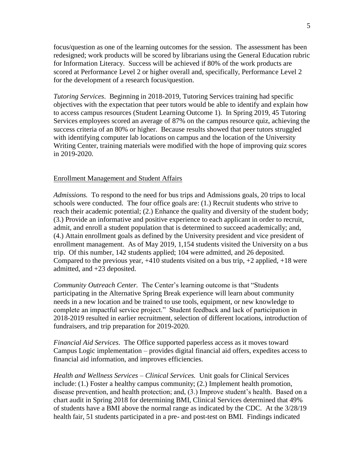focus/question as one of the learning outcomes for the session. The assessment has been redesigned; work products will be scored by librarians using the General Education rubric for Information Literacy. Success will be achieved if 80% of the work products are scored at Performance Level 2 or higher overall and, specifically, Performance Level 2 for the development of a research focus/question.

*Tutoring Services*. Beginning in 2018-2019, Tutoring Services training had specific objectives with the expectation that peer tutors would be able to identify and explain how to access campus resources (Student Learning Outcome 1). In Spring 2019, 45 Tutoring Services employees scored an average of 87% on the campus resource quiz, achieving the success criteria of an 80% or higher. Because results showed that peer tutors struggled with identifying computer lab locations on campus and the location of the University Writing Center, training materials were modified with the hope of improving quiz scores in 2019-2020.

### Enrollment Management and Student Affairs

*Admissions.* To respond to the need for bus trips and Admissions goals, 20 trips to local schools were conducted. The four office goals are: (1.) Recruit students who strive to reach their academic potential; (2.) Enhance the quality and diversity of the student body; (3.) Provide an informative and positive experience to each applicant in order to recruit, admit, and enroll a student population that is determined to succeed academically; and, (4.) Attain enrollment goals as defined by the University president and vice president of enrollment management. As of May 2019, 1,154 students visited the University on a bus trip. Of this number, 142 students applied; 104 were admitted, and 26 deposited. Compared to the previous year,  $+410$  students visited on a bus trip,  $+2$  applied,  $+18$  were admitted, and +23 deposited.

*Community Outreach Center.* The Center's learning outcome is that "Students participating in the Alternative Spring Break experience will learn about community needs in a new location and be trained to use tools, equipment, or new knowledge to complete an impactful service project." Student feedback and lack of participation in 2018-2019 resulted in earlier recruitment, selection of different locations, introduction of fundraisers, and trip preparation for 2019-2020.

*Financial Aid Services*. The Office supported paperless access as it moves toward Campus Logic implementation – provides digital financial aid offers, expedites access to financial aid information, and improves efficiencies.

*Health and Wellness Services – Clinical Services.* Unit goals for Clinical Services include: (1.) Foster a healthy campus community; (2.) Implement health promotion, disease prevention, and health protection; and, (3.) Improve student's health. Based on a chart audit in Spring 2018 for determining BMI, Clinical Services determined that 49% of students have a BMI above the normal range as indicated by the CDC. At the 3/28/19 health fair, 51 students participated in a pre- and post-test on BMI. Findings indicated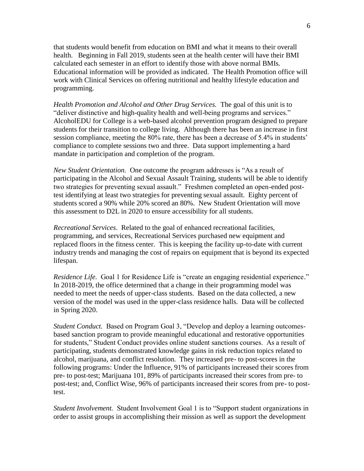that students would benefit from education on BMI and what it means to their overall health. Beginning in Fall 2019, students seen at the health center will have their BMI calculated each semester in an effort to identify those with above normal BMIs. Educational information will be provided as indicated. The Health Promotion office will work with Clinical Services on offering nutritional and healthy lifestyle education and programming.

*Health Promotion and Alcohol and Other Drug Services.* The goal of this unit is to "deliver distinctive and high-quality health and well-being programs and services." AlcoholEDU for College is a web-based alcohol prevention program designed to prepare students for their transition to college living. Although there has been an increase in first session compliance, meeting the 80% rate, there has been a decrease of 5.4% in students' compliance to complete sessions two and three. Data support implementing a hard mandate in participation and completion of the program.

*New Student Orientation.* One outcome the program addresses is "As a result of participating in the Alcohol and Sexual Assault Training, students will be able to identify two strategies for preventing sexual assault." Freshmen completed an open-ended posttest identifying at least two strategies for preventing sexual assault. Eighty percent of students scored a 90% while 20% scored an 80%. New Student Orientation will move this assessment to D2L in 2020 to ensure accessibility for all students.

*Recreational Services*. Related to the goal of enhanced recreational facilities, programming, and services, Recreational Services purchased new equipment and replaced floors in the fitness center. This is keeping the facility up-to-date with current industry trends and managing the cost of repairs on equipment that is beyond its expected lifespan.

*Residence Life.* Goal 1 for Residence Life is "create an engaging residential experience." In 2018-2019, the office determined that a change in their programming model was needed to meet the needs of upper-class students. Based on the data collected, a new version of the model was used in the upper-class residence halls. Data will be collected in Spring 2020.

*Student Conduct.* Based on Program Goal 3, "Develop and deploy a learning outcomesbased sanction program to provide meaningful educational and restorative opportunities for students," Student Conduct provides online student sanctions courses. As a result of participating, students demonstrated knowledge gains in risk reduction topics related to alcohol, marijuana, and conflict resolution. They increased pre- to post-scores in the following programs: Under the Influence, 91% of participants increased their scores from pre- to post-test; Marijuana 101, 89% of participants increased their scores from pre- to post-test; and, Conflict Wise, 96% of participants increased their scores from pre- to posttest.

*Student Involvement.* Student Involvement Goal 1 is to "Support student organizations in order to assist groups in accomplishing their mission as well as support the development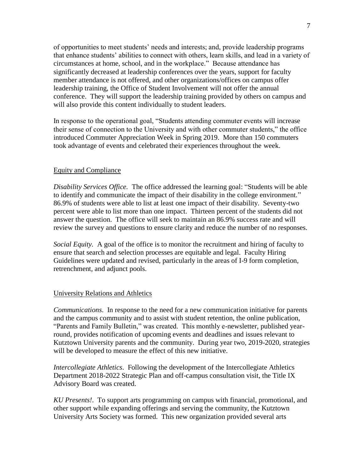of opportunities to meet students' needs and interests; and, provide leadership programs that enhance students' abilities to connect with others, learn skills, and lead in a variety of circumstances at home, school, and in the workplace." Because attendance has significantly decreased at leadership conferences over the years, support for faculty member attendance is not offered, and other organizations/offices on campus offer leadership training, the Office of Student Involvement will not offer the annual conference. They will support the leadership training provided by others on campus and will also provide this content individually to student leaders.

In response to the operational goal, "Students attending commuter events will increase their sense of connection to the University and with other commuter students," the office introduced Commuter Appreciation Week in Spring 2019. More than 150 commuters took advantage of events and celebrated their experiences throughout the week.

# Equity and Compliance

*Disability Services Office.* The office addressed the learning goal: "Students will be able to identify and communicate the impact of their disability in the college environment." 86.9% of students were able to list at least one impact of their disability. Seventy-two percent were able to list more than one impact. Thirteen percent of the students did not answer the question. The office will seek to maintain an 86.9% success rate and will review the survey and questions to ensure clarity and reduce the number of no responses.

*Social Equity.* A goal of the office is to monitor the recruitment and hiring of faculty to ensure that search and selection processes are equitable and legal. Faculty Hiring Guidelines were updated and revised, particularly in the areas of I-9 form completion, retrenchment, and adjunct pools.

#### University Relations and Athletics

*Communications*. In response to the need for a new communication initiative for parents and the campus community and to assist with student retention, the online publication, "Parents and Family Bulletin," was created. This monthly e-newsletter, published yearround, provides notification of upcoming events and deadlines and issues relevant to Kutztown University parents and the community. During year two, 2019-2020, strategies will be developed to measure the effect of this new initiative.

*Intercollegiate Athletics*. Following the development of the Intercollegiate Athletics Department 2018-2022 Strategic Plan and off-campus consultation visit, the Title IX Advisory Board was created.

*KU Presents!*. To support arts programming on campus with financial, promotional, and other support while expanding offerings and serving the community, the Kutztown University Arts Society was formed. This new organization provided several arts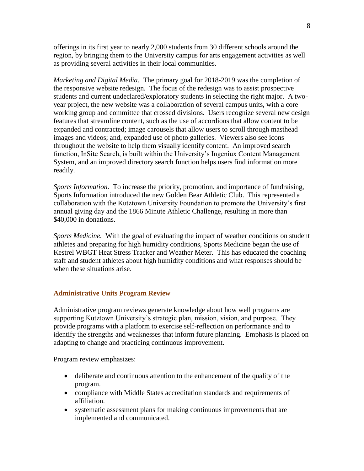offerings in its first year to nearly 2,000 students from 30 different schools around the region, by bringing them to the University campus for arts engagement activities as well as providing several activities in their local communities.

*Marketing and Digital Media*. The primary goal for 2018-2019 was the completion of the responsive website redesign. The focus of the redesign was to assist prospective students and current undeclared/exploratory students in selecting the right major. A twoyear project, the new website was a collaboration of several campus units, with a core working group and committee that crossed divisions. Users recognize several new design features that streamline content, such as the use of accordions that allow content to be expanded and contracted; image carousels that allow users to scroll through masthead images and videos; and, expanded use of photo galleries. Viewers also see icons throughout the website to help them visually identify content. An improved search function, InSite Search, is built within the University's Ingeniux Content Management System, and an improved directory search function helps users find information more readily.

*Sports Information*. To increase the priority, promotion, and importance of fundraising, Sports Information introduced the new Golden Bear Athletic Club. This represented a collaboration with the Kutztown University Foundation to promote the University's first annual giving day and the 1866 Minute Athletic Challenge, resulting in more than \$40,000 in donations.

*Sports Medicine.* With the goal of evaluating the impact of weather conditions on student athletes and preparing for high humidity conditions, Sports Medicine began the use of Kestrel WBGT Heat Stress Tracker and Weather Meter. This has educated the coaching staff and student athletes about high humidity conditions and what responses should be when these situations arise.

#### **Administrative Units Program Review**

Administrative program reviews generate knowledge about how well programs are supporting Kutztown University's strategic plan, mission, vision, and purpose. They provide programs with a platform to exercise self-reflection on performance and to identify the strengths and weaknesses that inform future planning. Emphasis is placed on adapting to change and practicing continuous improvement.

Program review emphasizes:

- deliberate and continuous attention to the enhancement of the quality of the program.
- compliance with Middle States accreditation standards and requirements of affiliation.
- systematic assessment plans for making continuous improvements that are implemented and communicated.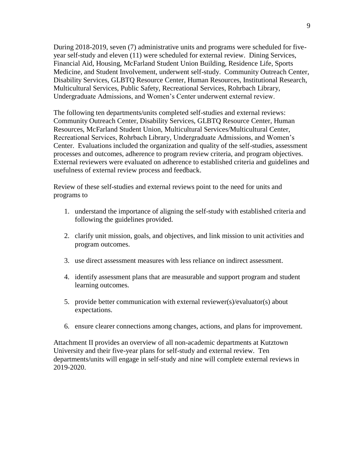During 2018-2019, seven (7) administrative units and programs were scheduled for fiveyear self-study and eleven (11) were scheduled for external review. Dining Services, Financial Aid, Housing, McFarland Student Union Building, Residence Life, Sports Medicine, and Student Involvement, underwent self-study. Community Outreach Center, Disability Services, GLBTQ Resource Center, Human Resources, Institutional Research, Multicultural Services, Public Safety, Recreational Services, Rohrbach Library, Undergraduate Admissions, and Women's Center underwent external review.

The following ten departments/units completed self-studies and external reviews: Community Outreach Center, Disability Services, GLBTQ Resource Center, Human Resources, McFarland Student Union, Multicultural Services/Multicultural Center, Recreational Services, Rohrbach Library, Undergraduate Admissions, and Women's Center. Evaluations included the organization and quality of the self-studies, assessment processes and outcomes, adherence to program review criteria, and program objectives. External reviewers were evaluated on adherence to established criteria and guidelines and usefulness of external review process and feedback.

Review of these self-studies and external reviews point to the need for units and programs to

- 1. understand the importance of aligning the self-study with established criteria and following the guidelines provided.
- 2. clarify unit mission, goals, and objectives, and link mission to unit activities and program outcomes.
- 3. use direct assessment measures with less reliance on indirect assessment.
- 4. identify assessment plans that are measurable and support program and student learning outcomes.
- 5. provide better communication with external reviewer(s)/evaluator(s) about expectations.
- 6. ensure clearer connections among changes, actions, and plans for improvement.

Attachment II provides an overview of all non-academic departments at Kutztown University and their five-year plans for self-study and external review. Ten departments/units will engage in self-study and nine will complete external reviews in 2019-2020.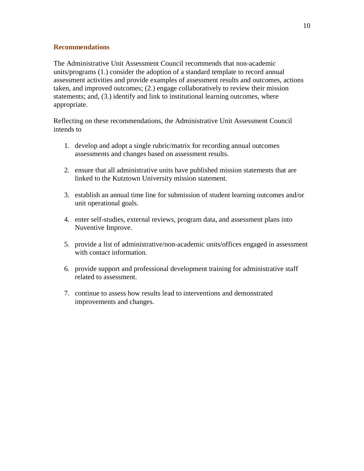# **Recommendations**

The Administrative Unit Assessment Council recommends that non-academic units/programs (1.) consider the adoption of a standard template to record annual assessment activities and provide examples of assessment results and outcomes, actions taken, and improved outcomes; (2.) engage collaboratively to review their mission statements; and, (3.) identify and link to institutional learning outcomes, where appropriate.

Reflecting on these recommendations, the Administrative Unit Assessment Council intends to

- 1. develop and adopt a single rubric/matrix for recording annual outcomes assessments and changes based on assessment results.
- 2. ensure that all administrative units have published mission statements that are linked to the Kutztown University mission statement.
- 3. establish an annual time line for submission of student learning outcomes and/or unit operational goals.
- 4. enter self-studies, external reviews, program data, and assessment plans into Nuventive Improve.
- 5. provide a list of administrative/non-academic units/offices engaged in assessment with contact information.
- 6. provide support and professional development training for administrative staff related to assessment.
- 7. continue to assess how results lead to interventions and demonstrated improvements and changes.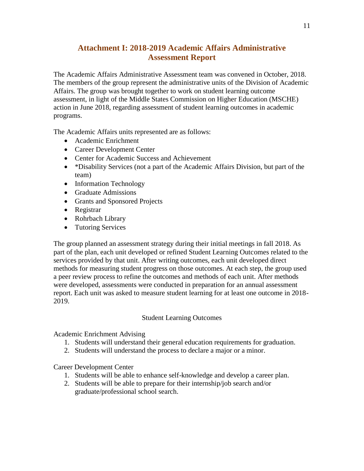# **Attachment I: 2018-2019 Academic Affairs Administrative Assessment Report**

The Academic Affairs Administrative Assessment team was convened in October, 2018. The members of the group represent the administrative units of the Division of Academic Affairs. The group was brought together to work on student learning outcome assessment, in light of the Middle States Commission on Higher Education (MSCHE) action in June 2018, regarding assessment of student learning outcomes in academic programs.

The Academic Affairs units represented are as follows:

- Academic Enrichment
- Career Development Center
- Center for Academic Success and Achievement
- \*Disability Services (not a part of the Academic Affairs Division, but part of the team)
- Information Technology
- Graduate Admissions
- Grants and Sponsored Projects
- Registrar
- Rohrbach Library
- Tutoring Services

The group planned an assessment strategy during their initial meetings in fall 2018. As part of the plan, each unit developed or refined Student Learning Outcomes related to the services provided by that unit. After writing outcomes, each unit developed direct methods for measuring student progress on those outcomes. At each step, the group used a peer review process to refine the outcomes and methods of each unit. After methods were developed, assessments were conducted in preparation for an annual assessment report. Each unit was asked to measure student learning for at least one outcome in 2018- 2019.

# Student Learning Outcomes

Academic Enrichment Advising

- 1. Students will understand their general education requirements for graduation.
- 2. Students will understand the process to declare a major or a minor.

Career Development Center

- 1. Students will be able to enhance self-knowledge and develop a career plan.
- 2. Students will be able to prepare for their internship/job search and/or graduate/professional school search.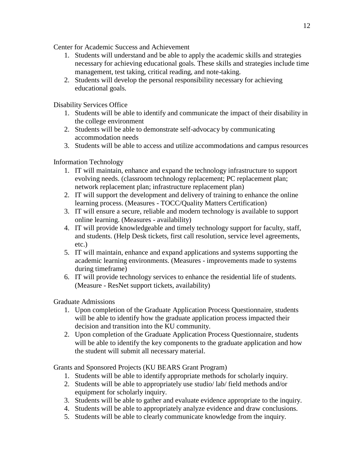Center for Academic Success and Achievement

- 1. Students will understand and be able to apply the academic skills and strategies necessary for achieving educational goals. These skills and strategies include time management, test taking, critical reading, and note-taking.
- 2. Students will develop the personal responsibility necessary for achieving educational goals.

Disability Services Office

- 1. Students will be able to identify and communicate the impact of their disability in the college environment
- 2. Students will be able to demonstrate self-advocacy by communicating accommodation needs
- 3. Students will be able to access and utilize accommodations and campus resources

# Information Technology

- 1. IT will maintain, enhance and expand the technology infrastructure to support evolving needs. (classroom technology replacement; PC replacement plan; network replacement plan; infrastructure replacement plan)
- 2. IT will support the development and delivery of training to enhance the online learning process. (Measures - TOCC/Quality Matters Certification)
- 3. IT will ensure a secure, reliable and modern technology is available to support online learning. (Measures - availability)
- 4. IT will provide knowledgeable and timely technology support for faculty, staff, and students. (Help Desk tickets, first call resolution, service level agreements, etc.)
- 5. IT will maintain, enhance and expand applications and systems supporting the academic learning environments. (Measures - improvements made to systems during timeframe)
- 6. IT will provide technology services to enhance the residential life of students. (Measure - ResNet support tickets, availability)

Graduate Admissions

- 1. Upon completion of the Graduate Application Process Questionnaire, students will be able to identify how the graduate application process impacted their decision and transition into the KU community.
- 2. Upon completion of the Graduate Application Process Questionnaire, students will be able to identify the key components to the graduate application and how the student will submit all necessary material.

Grants and Sponsored Projects (KU BEARS Grant Program)

- 1. Students will be able to identify appropriate methods for scholarly inquiry.
- 2. Students will be able to appropriately use studio/ lab/ field methods and/or equipment for scholarly inquiry.
- 3. Students will be able to gather and evaluate evidence appropriate to the inquiry.
- 4. Students will be able to appropriately analyze evidence and draw conclusions.
- 5. Students will be able to clearly communicate knowledge from the inquiry.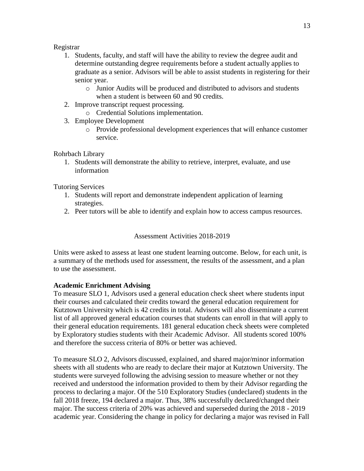# Registrar

- 1. Students, faculty, and staff will have the ability to review the degree audit and determine outstanding degree requirements before a student actually applies to graduate as a senior. Advisors will be able to assist students in registering for their senior year.
	- o Junior Audits will be produced and distributed to advisors and students when a student is between 60 and 90 credits.
- 2. Improve transcript request processing.
	- o Credential Solutions implementation.
- 3. Employee Development
	- o Provide professional development experiences that will enhance customer service.

Rohrbach Library

1. Students will demonstrate the ability to retrieve, interpret, evaluate, and use information

Tutoring Services

- 1. Students will report and demonstrate independent application of learning strategies.
- 2. Peer tutors will be able to identify and explain how to access campus resources.

# Assessment Activities 2018-2019

Units were asked to assess at least one student learning outcome. Below, for each unit, is a summary of the methods used for assessment, the results of the assessment, and a plan to use the assessment.

# **Academic Enrichment Advising**

To measure SLO 1, Advisors used a general education check sheet where students input their courses and calculated their credits toward the general education requirement for Kutztown University which is 42 credits in total. Advisors will also disseminate a current list of all approved general education courses that students can enroll in that will apply to their general education requirements. 181 general education check sheets were completed by Exploratory studies students with their Academic Advisor. All students scored 100% and therefore the success criteria of 80% or better was achieved.

To measure SLO 2, Advisors discussed, explained, and shared major/minor information sheets with all students who are ready to declare their major at Kutztown University. The students were surveyed following the advising session to measure whether or not they received and understood the information provided to them by their Advisor regarding the process to declaring a major. Of the 510 Exploratory Studies (undeclared) students in the fall 2018 freeze, 194 declared a major. Thus, 38% successfully declared/changed their major. The success criteria of 20% was achieved and superseded during the 2018 - 2019 academic year. Considering the change in policy for declaring a major was revised in Fall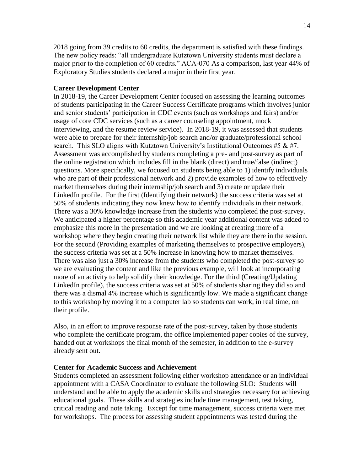2018 going from 39 credits to 60 credits, the department is satisfied with these findings. The new policy reads: "all undergraduate Kutztown University students must declare a major prior to the completion of 60 credits." ACA-070 As a comparison, last year 44% of Exploratory Studies students declared a major in their first year.

#### **Career Development Center**

In 2018-19, the Career Development Center focused on assessing the learning outcomes of students participating in the Career Success Certificate programs which involves junior and senior students' participation in CDC events (such as workshops and fairs) and/or usage of core CDC services (such as a career counseling appointment, mock interviewing, and the resume review service). In 2018-19, it was assessed that students were able to prepare for their internship/job search and/or graduate/professional school search. This SLO aligns with Kutztown University's Institutional Outcomes  $#5 \& #7$ . Assessment was accomplished by students completing a pre- and post-survey as part of the online registration which includes fill in the blank (direct) and true/false (indirect) questions. More specifically, we focused on students being able to 1) identify individuals who are part of their professional network and 2) provide examples of how to effectively market themselves during their internship/job search and 3) create or update their LinkedIn profile. For the first (Identifying their network) the success criteria was set at 50% of students indicating they now knew how to identify individuals in their network. There was a 30% knowledge increase from the students who completed the post-survey. We anticipated a higher percentage so this academic year additional content was added to emphasize this more in the presentation and we are looking at creating more of a workshop where they begin creating their network list while they are there in the session. For the second (Providing examples of marketing themselves to prospective employers), the success criteria was set at a 50% increase in knowing how to market themselves. There was also just a 30% increase from the students who completed the post-survey so we are evaluating the content and like the previous example, will look at incorporating more of an activity to help solidify their knowledge. For the third (Creating/Updating LinkedIn profile), the success criteria was set at 50% of students sharing they did so and there was a dismal 4% increase which is significantly low. We made a significant change to this workshop by moving it to a computer lab so students can work, in real time, on their profile.

Also, in an effort to improve response rate of the post-survey, taken by those students who complete the certificate program, the office implemented paper copies of the survey, handed out at workshops the final month of the semester, in addition to the e-survey already sent out.

#### **Center for Academic Success and Achievement**

Students completed an assessment following either workshop attendance or an individual appointment with a CASA Coordinator to evaluate the following SLO: Students will understand and be able to apply the academic skills and strategies necessary for achieving educational goals. These skills and strategies include time management, test taking, critical reading and note taking. Except for time management, success criteria were met for workshops. The process for assessing student appointments was tested during the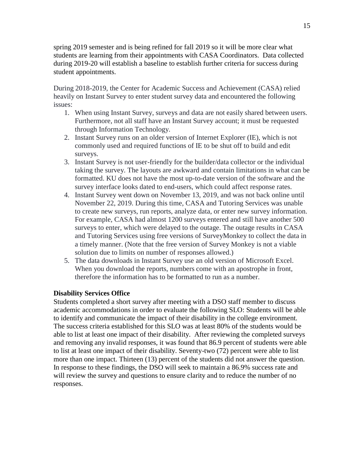spring 2019 semester and is being refined for fall 2019 so it will be more clear what students are learning from their appointments with CASA Coordinators. Data collected during 2019-20 will establish a baseline to establish further criteria for success during student appointments.

During 2018-2019, the Center for Academic Success and Achievement (CASA) relied heavily on Instant Survey to enter student survey data and encountered the following issues:

- 1. When using Instant Survey, surveys and data are not easily shared between users. Furthermore, not all staff have an Instant Survey account; it must be requested through Information Technology.
- 2. Instant Survey runs on an older version of Internet Explorer (IE), which is not commonly used and required functions of IE to be shut off to build and edit surveys.
- 3. Instant Survey is not user-friendly for the builder/data collector or the individual taking the survey. The layouts are awkward and contain limitations in what can be formatted. KU does not have the most up-to-date version of the software and the survey interface looks dated to end-users, which could affect response rates.
- 4. Instant Survey went down on November 13, 2019, and was not back online until November 22, 2019. During this time, CASA and Tutoring Services was unable to create new surveys, run reports, analyze data, or enter new survey information. For example, CASA had almost 1200 surveys entered and still have another 500 surveys to enter, which were delayed to the outage. The outage results in CASA and Tutoring Services using free versions of SurveyMonkey to collect the data in a timely manner. (Note that the free version of Survey Monkey is not a viable solution due to limits on number of responses allowed.)
- 5. The data downloads in Instant Survey use an old version of Microsoft Excel. When you download the reports, numbers come with an apostrophe in front, therefore the information has to be formatted to run as a number.

# **Disability Services Office**

Students completed a short survey after meeting with a DSO staff member to discuss academic accommodations in order to evaluate the following SLO: Students will be able to identify and communicate the impact of their disability in the college environment. The success criteria established for this SLO was at least 80% of the students would be able to list at least one impact of their disability. After reviewing the completed surveys and removing any invalid responses, it was found that 86.9 percent of students were able to list at least one impact of their disability. Seventy-two (72) percent were able to list more than one impact. Thirteen (13) percent of the students did not answer the question. In response to these findings, the DSO will seek to maintain a 86.9% success rate and will review the survey and questions to ensure clarity and to reduce the number of no responses.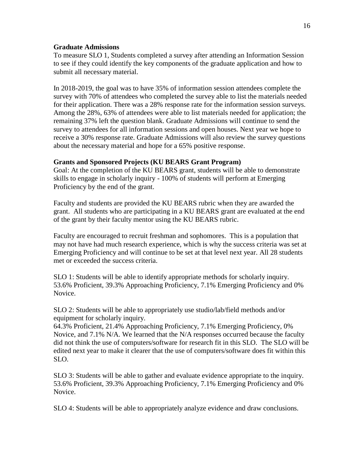#### **Graduate Admissions**

To measure SLO 1, Students completed a survey after attending an Information Session to see if they could identify the key components of the graduate application and how to submit all necessary material.

In 2018-2019, the goal was to have 35% of information session attendees complete the survey with 70% of attendees who completed the survey able to list the materials needed for their application. There was a 28% response rate for the information session surveys. Among the 28%, 63% of attendees were able to list materials needed for application; the remaining 37% left the question blank. Graduate Admissions will continue to send the survey to attendees for all information sessions and open houses. Next year we hope to receive a 30% response rate. Graduate Admissions will also review the survey questions about the necessary material and hope for a 65% positive response.

### **Grants and Sponsored Projects (KU BEARS Grant Program)**

Goal: At the completion of the KU BEARS grant, students will be able to demonstrate skills to engage in scholarly inquiry - 100% of students will perform at Emerging Proficiency by the end of the grant.

Faculty and students are provided the KU BEARS rubric when they are awarded the grant. All students who are participating in a KU BEARS grant are evaluated at the end of the grant by their faculty mentor using the KU BEARS rubric.

Faculty are encouraged to recruit freshman and sophomores. This is a population that may not have had much research experience, which is why the success criteria was set at Emerging Proficiency and will continue to be set at that level next year. All 28 students met or exceeded the success criteria.

SLO 1: Students will be able to identify appropriate methods for scholarly inquiry. 53.6% Proficient, 39.3% Approaching Proficiency, 7.1% Emerging Proficiency and 0% Novice.

SLO 2: Students will be able to appropriately use studio/lab/field methods and/or equipment for scholarly inquiry.

64.3% Proficient, 21.4% Approaching Proficiency, 7.1% Emerging Proficiency, 0% Novice, and 7.1% N/A. We learned that the N/A responses occurred because the faculty did not think the use of computers/software for research fit in this SLO. The SLO will be edited next year to make it clearer that the use of computers/software does fit within this SLO.

SLO 3: Students will be able to gather and evaluate evidence appropriate to the inquiry. 53.6% Proficient, 39.3% Approaching Proficiency, 7.1% Emerging Proficiency and 0% Novice.

SLO 4: Students will be able to appropriately analyze evidence and draw conclusions.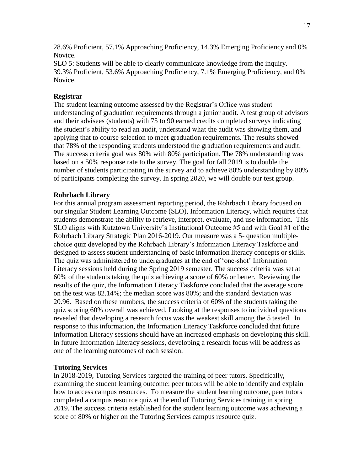28.6% Proficient, 57.1% Approaching Proficiency, 14.3% Emerging Proficiency and 0% Novice.

SLO 5: Students will be able to clearly communicate knowledge from the inquiry. 39.3% Proficient, 53.6% Approaching Proficiency, 7.1% Emerging Proficiency, and 0% Novice.

# **Registrar**

The student learning outcome assessed by the Registrar's Office was student understanding of graduation requirements through a junior audit. A test group of advisors and their advisees (students) with 75 to 90 earned credits completed surveys indicating the student's ability to read an audit, understand what the audit was showing them, and applying that to course selection to meet graduation requirements. The results showed that 78% of the responding students understood the graduation requirements and audit. The success criteria goal was 80% with 80% participation. The 78% understanding was based on a 50% response rate to the survey. The goal for fall 2019 is to double the number of students participating in the survey and to achieve 80% understanding by 80% of participants completing the survey. In spring 2020, we will double our test group.

# **Rohrbach Library**

For this annual program assessment reporting period, the Rohrbach Library focused on our singular Student Learning Outcome (SLO), Information Literacy, which requires that students demonstrate the ability to retrieve, interpret, evaluate, and use information. This SLO aligns with Kutztown University's Institutional Outcome #5 and with Goal #1 of the Rohrbach Library Strategic Plan 2016-2019. Our measure was a 5- question multiplechoice quiz developed by the Rohrbach Library's Information Literacy Taskforce and designed to assess student understanding of basic information literacy concepts or skills. The quiz was administered to undergraduates at the end of 'one-shot' Information Literacy sessions held during the Spring 2019 semester. The success criteria was set at 60% of the students taking the quiz achieving a score of 60% or better. Reviewing the results of the quiz, the Information Literacy Taskforce concluded that the average score on the test was 82.14%; the median score was 80%; and the standard deviation was 20.96. Based on these numbers, the success criteria of 60% of the students taking the quiz scoring 60% overall was achieved. Looking at the responses to individual questions revealed that developing a research focus was the weakest skill among the 5 tested. In response to this information, the Information Literacy Taskforce concluded that future Information Literacy sessions should have an increased emphasis on developing this skill. In future Information Literacy sessions, developing a research focus will be address as one of the learning outcomes of each session.

# **Tutoring Services**

In 2018-2019, Tutoring Services targeted the training of peer tutors. Specifically, examining the student learning outcome: peer tutors will be able to identify and explain how to access campus resources. To measure the student learning outcome, peer tutors completed a campus resource quiz at the end of Tutoring Services training in spring 2019. The success criteria established for the student learning outcome was achieving a score of 80% or higher on the Tutoring Services campus resource quiz.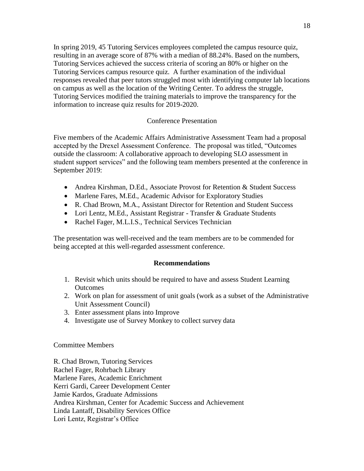In spring 2019, 45 Tutoring Services employees completed the campus resource quiz, resulting in an average score of 87% with a median of 88.24%. Based on the numbers, Tutoring Services achieved the success criteria of scoring an 80% or higher on the Tutoring Services campus resource quiz. A further examination of the individual responses revealed that peer tutors struggled most with identifying computer lab locations on campus as well as the location of the Writing Center. To address the struggle, Tutoring Services modified the training materials to improve the transparency for the information to increase quiz results for 2019-2020.

# Conference Presentation

Five members of the Academic Affairs Administrative Assessment Team had a proposal accepted by the Drexel Assessment Conference. The proposal was titled, "Outcomes outside the classroom: A collaborative approach to developing SLO assessment in student support services" and the following team members presented at the conference in September 2019:

- Andrea Kirshman, D.Ed., Associate Provost for Retention & Student Success
- Marlene Fares, M.Ed., Academic Advisor for Exploratory Studies
- R. Chad Brown, M.A., Assistant Director for Retention and Student Success
- Lori Lentz, M.Ed., Assistant Registrar Transfer & Graduate Students
- Rachel Fager, M.L.I.S., Technical Services Technician

The presentation was well-received and the team members are to be commended for being accepted at this well-regarded assessment conference.

# **Recommendations**

- 1. Revisit which units should be required to have and assess Student Learning **Outcomes**
- 2. Work on plan for assessment of unit goals (work as a subset of the Administrative Unit Assessment Council)
- 3. Enter assessment plans into Improve
- 4. Investigate use of Survey Monkey to collect survey data

# Committee Members

R. Chad Brown, Tutoring Services Rachel Fager, Rohrbach Library Marlene Fares, Academic Enrichment Kerri Gardi, Career Development Center Jamie Kardos, Graduate Admissions Andrea Kirshman, Center for Academic Success and Achievement Linda Lantaff, Disability Services Office Lori Lentz, Registrar's Office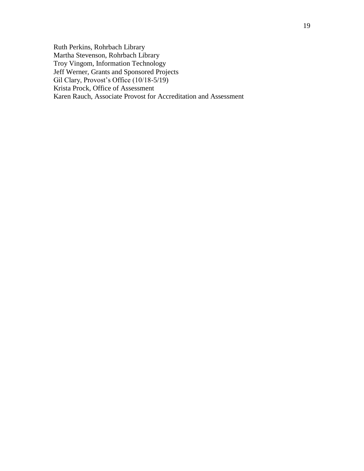Ruth Perkins, Rohrbach Library Martha Stevenson, Rohrbach Library Troy Vingom, Information Technology Jeff Werner, Grants and Sponsored Projects Gil Clary, Provost's Office (10/18-5/19) Krista Prock, Office of Assessment Karen Rauch, Associate Provost for Accreditation and Assessment